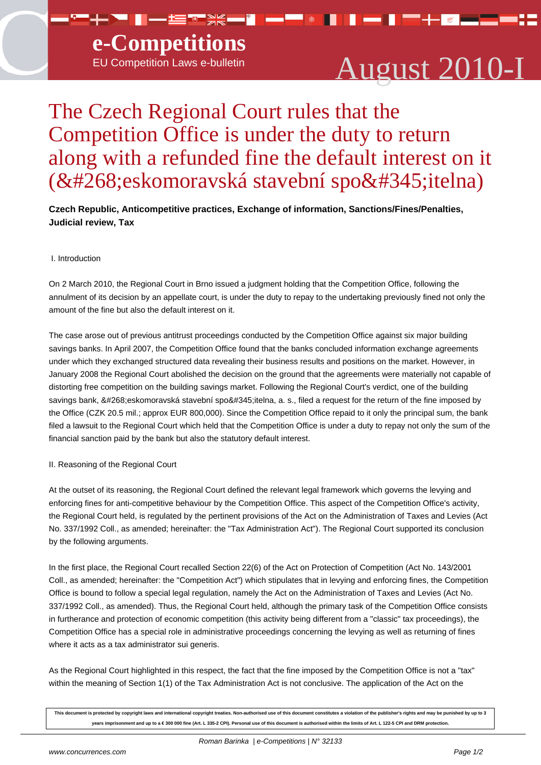▀▚▀▐▗▃▆▚▓▀<mark>▌▅▀</mark>▝▐

# August 2010-I

▐▀▘▚▕▓▍▃▍▂▖▀▘▞▃

n — n

# The Czech Regional Court rules that the Competition Office is under the duty to return along with a refunded fine the default interest on it (Č eskomoravská stavební spoř itelna)

**Czech Republic, Anticompetitive practices, Exchange of information, Sanctions/Fines/Penalties, Judicial review, Tax**

#### I. Introduction

On 2 March 2010, the Regional Court in Brno issued a judgment holding that the Competition Office, following the annulment of its decision by an appellate court, is under the duty to repay to the undertaking previously fined not only the amount of the fine but also the default interest on it.

The case arose out of previous antitrust proceedings conducted by the Competition Office against six major building savings banks. In April 2007, the Competition Office found that the banks concluded information exchange agreements under which they exchanged structured data revealing their business results and positions on the market. However, in January 2008 the Regional Court abolished the decision on the ground that the agreements were materially not capable of distorting free competition on the building savings market. Following the Regional Court's verdict, one of the building savings bank, Českomoravská stavební spořitelna, a. s., filed a request for the return of the fine imposed by the Office (CZK 20.5 mil.; approx EUR 800,000). Since the Competition Office repaid to it only the principal sum, the bank filed a lawsuit to the Regional Court which held that the Competition Office is under a duty to repay not only the sum of the financial sanction paid by the bank but also the statutory default interest.

## II. Reasoning of the Regional Court

At the outset of its reasoning, the Regional Court defined the relevant legal framework which governs the levying and enforcing fines for anti-competitive behaviour by the Competition Office. This aspect of the Competition Office's activity, the Regional Court held, is regulated by the pertinent provisions of the Act on the Administration of Taxes and Levies (Act No. 337/1992 Coll., as amended; hereinafter: the "Tax Administration Act"). The Regional Court supported its conclusion by the following arguments.

In the first place, the Regional Court recalled Section 22(6) of the Act on Protection of Competition (Act No. 143/2001 Coll., as amended; hereinafter: the "Competition Act") which stipulates that in levying and enforcing fines, the Competition Office is bound to follow a special legal regulation, namely the Act on the Administration of Taxes and Levies (Act No. 337/1992 Coll., as amended). Thus, the Regional Court held, although the primary task of the Competition Office consists in furtherance and protection of economic competition (this activity being different from a "classic" tax proceedings), the Competition Office has a special role in administrative proceedings concerning the levying as well as returning of fines where it acts as a tax administrator sui generis.

As the Regional Court highlighted in this respect, the fact that the fine imposed by the Competition Office is not a "tax" within the meaning of Section 1(1) of the Tax Administration Act is not conclusive. The application of the Act on the

**This document is protected by copyright laws and international copyright treaties. Non-authorised use of this document constitutes a violation of the publisher's rights and may be punished by up to 3 years imprisonment and up to a € 300 000 fine (Art. L 335-2 CPI). Personal use of this document is authorised within the limits of Art. L 122-5 CPI and DRM protection.**